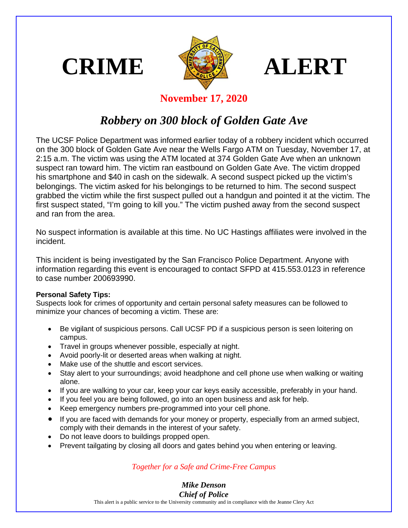





## **November 17, 2020**

## *Robbery on 300 block of Golden Gate Ave*

The UCSF Police Department was informed earlier today of a robbery incident which occurred on the 300 block of Golden Gate Ave near the Wells Fargo ATM on Tuesday, November 17, at 2:15 a.m. The victim was using the ATM located at 374 Golden Gate Ave when an unknown suspect ran toward him. The victim ran eastbound on Golden Gate Ave. The victim dropped his smartphone and \$40 in cash on the sidewalk. A second suspect picked up the victim's belongings. The victim asked for his belongings to be returned to him. The second suspect grabbed the victim while the first suspect pulled out a handgun and pointed it at the victim. The first suspect stated, "I'm going to kill you." The victim pushed away from the second suspect and ran from the area.

No suspect information is available at this time. No UC Hastings affiliates were involved in the incident.

This incident is being investigated by the San Francisco Police Department. Anyone with information regarding this event is encouraged to contact SFPD at 415.553.0123 in reference to case number 200693990.

## **Personal Safety Tips:**

Suspects look for crimes of opportunity and certain personal safety measures can be followed to minimize your chances of becoming a victim. These are:

- Be vigilant of suspicious persons. Call UCSF PD if a suspicious person is seen loitering on campus.
- Travel in groups whenever possible, especially at night.
- Avoid poorly-lit or deserted areas when walking at night.
- Make use of the shuttle and escort services.
- Stay alert to your surroundings; avoid headphone and cell phone use when walking or waiting alone.
- If you are walking to your car, keep your car keys easily accessible, preferably in your hand.
- If you feel you are being followed, go into an open business and ask for help.
- Keep emergency numbers pre-programmed into your cell phone.
- If you are faced with demands for your money or property, especially from an armed subject, comply with their demands in the interest of your safety.
- Do not leave doors to buildings propped open.
- Prevent tailgating by closing all doors and gates behind you when entering or leaving.

## *Together for a Safe and Crime-Free Campus*

*Mike Denson Chief of Police*

This alert is a public service to the University community and in compliance with the Jeanne Clery Act